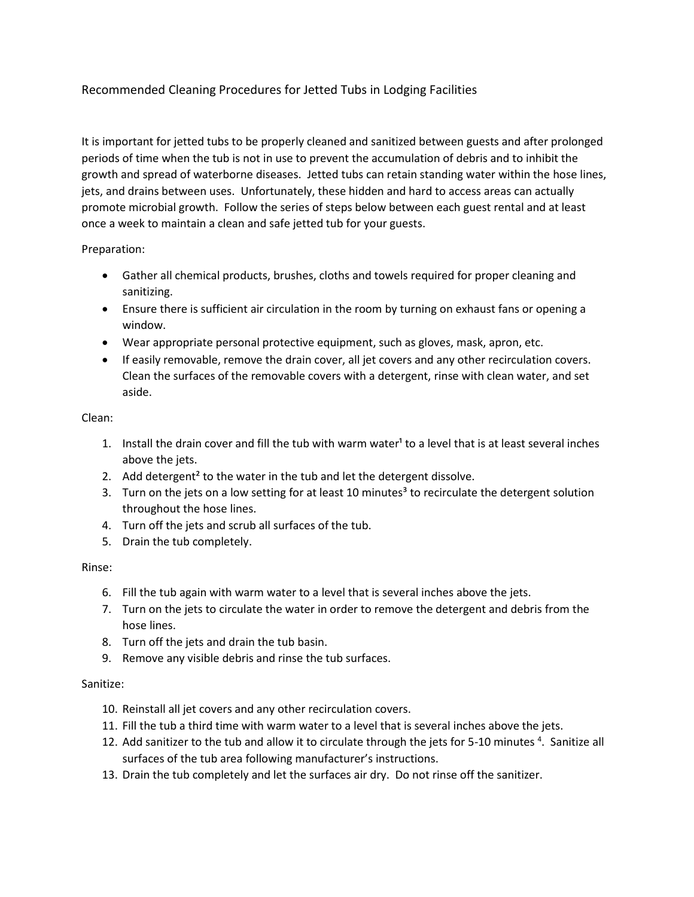## Recommended Cleaning Procedures for Jetted Tubs in Lodging Facilities

It is important for jetted tubs to be properly cleaned and sanitized between guests and after prolonged periods of time when the tub is not in use to prevent the accumulation of debris and to inhibit the growth and spread of waterborne diseases. Jetted tubs can retain standing water within the hose lines, jets, and drains between uses. Unfortunately, these hidden and hard to access areas can actually promote microbial growth. Follow the series of steps below between each guest rental and at least once a week to maintain a clean and safe jetted tub for your guests.

Preparation:

- Gather all chemical products, brushes, cloths and towels required for proper cleaning and sanitizing.
- Ensure there is sufficient air circulation in the room by turning on exhaust fans or opening a window.
- Wear appropriate personal protective equipment, such as gloves, mask, apron, etc.
- If easily removable, remove the drain cover, all jet covers and any other recirculation covers. Clean the surfaces of the removable covers with a detergent, rinse with clean water, and set aside.

Clean:

- 1. Install the drain cover and fill the tub with warm water<sup>1</sup> to a level that is at least several inches above the jets.
- 2. Add detergent<sup>2</sup> to the water in the tub and let the detergent dissolve.
- 3. Turn on the jets on a low setting for at least 10 minutes<sup>3</sup> to recirculate the detergent solution throughout the hose lines.
- 4. Turn off the jets and scrub all surfaces of the tub.
- 5. Drain the tub completely.

Rinse:

- 6. Fill the tub again with warm water to a level that is several inches above the jets.
- 7. Turn on the jets to circulate the water in order to remove the detergent and debris from the hose lines.
- 8. Turn off the jets and drain the tub basin.
- 9. Remove any visible debris and rinse the tub surfaces.

## Sanitize:

- 10. Reinstall all jet covers and any other recirculation covers.
- 11. Fill the tub a third time with warm water to a level that is several inches above the jets.
- 12. Add sanitizer to the tub and allow it to circulate through the jets for 5-10 minutes<sup>4</sup>. Sanitize all surfaces of the tub area following manufacturer's instructions.
- 13. Drain the tub completely and let the surfaces air dry. Do not rinse off the sanitizer.